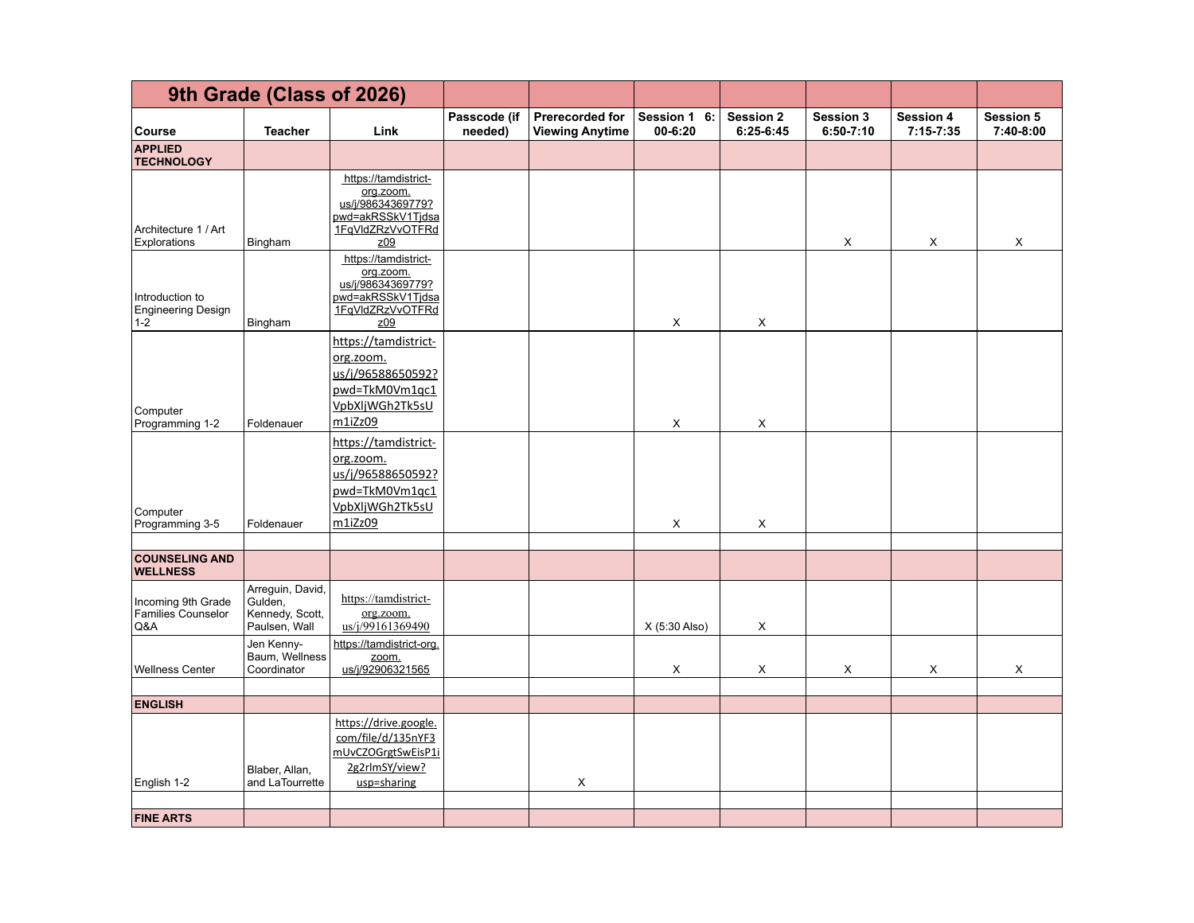|                                                         | 9th Grade (Class of 2026)                                       |                                                                                                        |                         |                                           |                             |                               |                                   |                                   |                               |
|---------------------------------------------------------|-----------------------------------------------------------------|--------------------------------------------------------------------------------------------------------|-------------------------|-------------------------------------------|-----------------------------|-------------------------------|-----------------------------------|-----------------------------------|-------------------------------|
| <b>Course</b>                                           | <b>Teacher</b>                                                  | Link                                                                                                   | Passcode (if<br>needed) | Prerecorded for<br><b>Viewing Anytime</b> | Session 1 6:<br>$00 - 6:20$ | <b>Session 2</b><br>6:25-6:45 | <b>Session 3</b><br>$6:50 - 7:10$ | <b>Session 4</b><br>$7:15 - 7:35$ | <b>Session 5</b><br>7:40-8:00 |
| <b>APPLIED</b><br><b>TECHNOLOGY</b>                     |                                                                 |                                                                                                        |                         |                                           |                             |                               |                                   |                                   |                               |
| Architecture 1 / Art<br>Explorations                    | Bingham                                                         | https://tamdistrict-<br>org.zoom.<br>us/j/98634369779?<br>pwd=akRSSkV1Tjdsa<br>1FqVldZRzVvOTFRd<br>z09 |                         |                                           |                             |                               | X                                 | X                                 | X                             |
| Introduction to<br><b>Engineering Design</b><br>$1 - 2$ | Bingham                                                         | https://tamdistrict-<br>org.zoom.<br>us/j/98634369779?<br>pwd=akRSSkV1Tjdsa<br>1FqVldZRzVvOTFRd<br>209 |                         |                                           | X                           | X                             |                                   |                                   |                               |
| Computer<br>Programming 1-2                             | Foldenauer                                                      | https://tamdistrict-<br>org.zoom.<br>us/j/96588650592?<br>pwd=TkM0Vm1qc1<br>VpbXljWGh2Tk5sU<br>m1iZz09 |                         |                                           | X                           | X                             |                                   |                                   |                               |
| Computer<br>Programming 3-5                             | Foldenauer                                                      | https://tamdistrict-<br>org.zoom.<br>us/j/96588650592?<br>pwd=TkM0Vm1qc1<br>VpbXljWGh2Tk5sU<br>m1iZz09 |                         |                                           | X                           | X                             |                                   |                                   |                               |
|                                                         |                                                                 |                                                                                                        |                         |                                           |                             |                               |                                   |                                   |                               |
| <b>COUNSELING AND</b><br><b>WELLNESS</b>                |                                                                 |                                                                                                        |                         |                                           |                             |                               |                                   |                                   |                               |
| Incoming 9th Grade<br><b>Families Counselor</b><br>Q&A  | Arreguin, David,<br>Gulden,<br>Kennedy, Scott,<br>Paulsen, Wall | https://tamdistrict-<br>org.zoom.<br>us/j/99161369490                                                  |                         |                                           | X (5:30 Also)               | X                             |                                   |                                   |                               |
| <b>Wellness Center</b>                                  | Jen Kenny-<br>Baum, Wellness<br>Coordinator                     | https://tamdistrict-org.<br>zoom.<br>us/j/92906321565                                                  |                         |                                           | X                           | X                             | $\mathsf X$                       | $\mathsf X$                       | X                             |
| <b>ENGLISH</b>                                          |                                                                 |                                                                                                        |                         |                                           |                             |                               |                                   |                                   |                               |
| English 1-2                                             | Blaber, Allan,<br>and LaTourrette                               | https://drive.google.<br>com/file/d/135nYF3<br>mUvCZOGrgtSwEisP1i<br>2g2rlmSY/view?<br>usp=sharing     |                         | X                                         |                             |                               |                                   |                                   |                               |
| <b>FINE ARTS</b>                                        |                                                                 |                                                                                                        |                         |                                           |                             |                               |                                   |                                   |                               |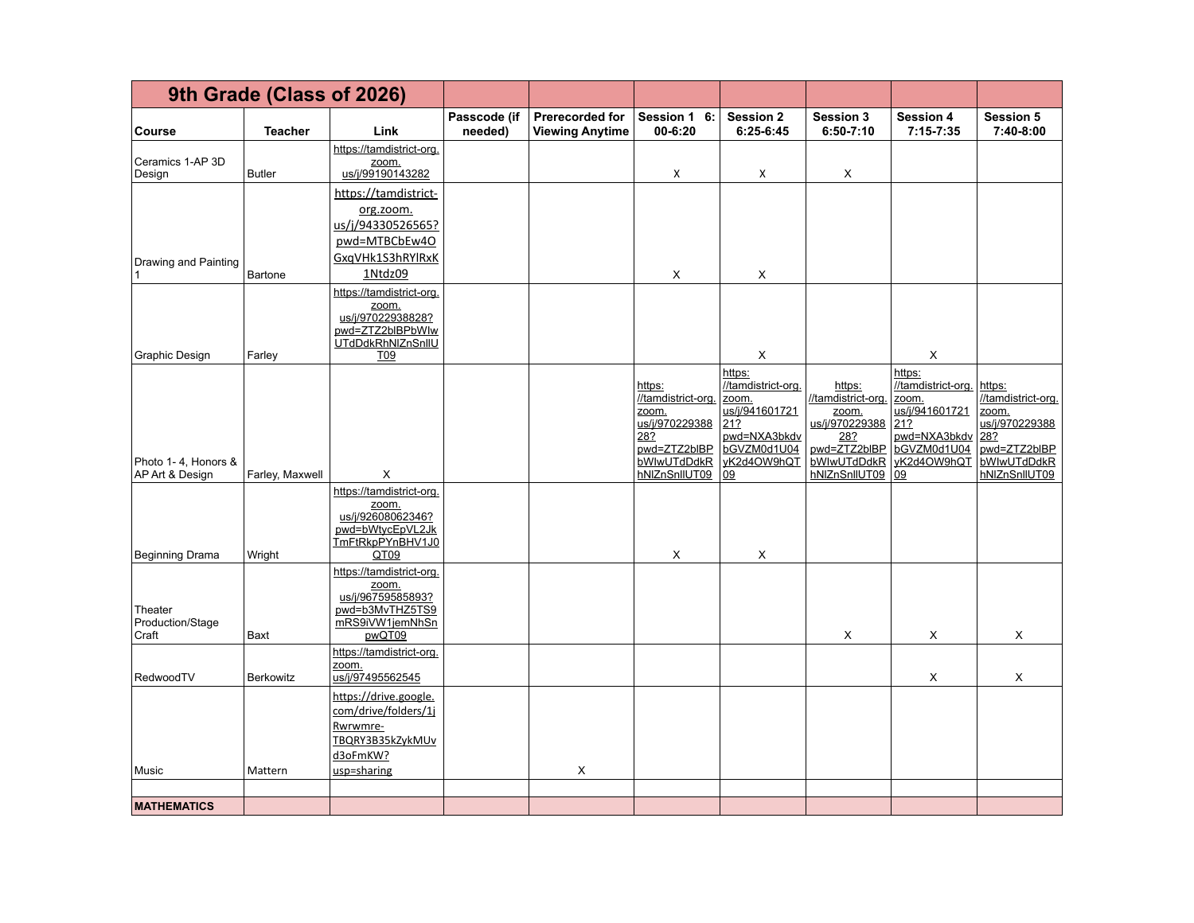|                                        | 9th Grade (Class of 2026) |                                                                                                          |                         |                                           |                                                                                                                |                                                                                                                    |                                                                                                                |                                                                                                                    |                                                                                                                |
|----------------------------------------|---------------------------|----------------------------------------------------------------------------------------------------------|-------------------------|-------------------------------------------|----------------------------------------------------------------------------------------------------------------|--------------------------------------------------------------------------------------------------------------------|----------------------------------------------------------------------------------------------------------------|--------------------------------------------------------------------------------------------------------------------|----------------------------------------------------------------------------------------------------------------|
| Course                                 | <b>Teacher</b>            | Link                                                                                                     | Passcode (if<br>needed) | Prerecorded for<br><b>Viewing Anytime</b> | <b>Session 1</b><br>6:<br>00-6:20                                                                              | <b>Session 2</b><br>$6:25-6:45$                                                                                    | <b>Session 3</b><br>$6:50 - 7:10$                                                                              | <b>Session 4</b><br>$7:15 - 7:35$                                                                                  | <b>Session 5</b><br>7:40-8:00                                                                                  |
| Ceramics 1-AP 3D<br>Design             | Butler                    | https://tamdistrict-org.<br>zoom.<br>us/j/99190143282                                                    |                         |                                           | X                                                                                                              | Х                                                                                                                  | X                                                                                                              |                                                                                                                    |                                                                                                                |
| Drawing and Painting                   | Bartone                   | https://tamdistrict-<br>org.zoom.<br>us/j/94330526565?<br>pwd=MTBCbEw4O<br>GxqVHk1S3hRYlRxK<br>1Ntdz09   |                         |                                           | X                                                                                                              | X                                                                                                                  |                                                                                                                |                                                                                                                    |                                                                                                                |
| Graphic Design                         | Farley                    | https://tamdistrict-org.<br>zoom.<br>us/j/97022938828?<br>pwd=ZTZ2bIBPbWlw<br>UTdDdkRhNIZnSnIIU<br>T09   |                         |                                           |                                                                                                                | X                                                                                                                  |                                                                                                                | X                                                                                                                  |                                                                                                                |
| Photo 1-4, Honors &<br>AP Art & Design | Farley, Maxwell           | X                                                                                                        |                         |                                           | https:<br>//tamdistrict-org.<br>zoom.<br>us/j/970229388<br>282<br>pwd=ZTZ2bIBP<br>bWlwUTdDdkR<br>hNIZnSnIIUT09 | https:<br>//tamdistrict-org.<br>zoom.<br>us/j/941601721<br>21?<br>pwd=NXA3bkdv<br>bGVZM0d1U04<br>yK2d4OW9hQT<br>09 | https:<br>//tamdistrict-org.<br>zoom.<br>us/j/970229388<br>28?<br>pwd=ZTZ2bIBP<br>bWlwUTdDdkR<br>hNIZnSnIIUT09 | https:<br>//tamdistrict-org.<br>zoom.<br>us/j/941601721<br>21?<br>pwd=NXA3bkdv<br>bGVZM0d1U04<br>yK2d4OW9hQT<br>09 | https:<br>//tamdistrict-org.<br>zoom.<br>us/j/970229388<br>28?<br>pwd=ZTZ2bIBP<br>bWlwUTdDdkR<br>hNIZnSnIIUT09 |
| Beginning Drama                        | Wright                    | https://tamdistrict-org.<br>zoom.<br>us/j/92608062346?<br>pwd=bWtycEpVL2Jk<br>TmFtRkpPYnBHV1J0<br>QT09   |                         |                                           | X                                                                                                              | X                                                                                                                  |                                                                                                                |                                                                                                                    |                                                                                                                |
| Theater<br>Production/Stage<br>Craft   | Baxt                      | https://tamdistrict-org<br>zoom.<br>us/j/96759585893?<br>pwd=b3MvTHZ5TS9<br>mRS9iVW1jemNhSn<br>pwQT09    |                         |                                           |                                                                                                                |                                                                                                                    | X                                                                                                              | X                                                                                                                  | X                                                                                                              |
| RedwoodTV                              | <b>Berkowitz</b>          | https://tamdistrict-org.<br>zoom.<br>us/j/97495562545                                                    |                         |                                           |                                                                                                                |                                                                                                                    |                                                                                                                | X                                                                                                                  | X                                                                                                              |
| Music                                  | Mattern                   | https://drive.google.<br>com/drive/folders/1j<br>Rwrwmre-<br>TBQRY3B35kZykMUv<br>d3oFmKW?<br>usp=sharing |                         | X                                         |                                                                                                                |                                                                                                                    |                                                                                                                |                                                                                                                    |                                                                                                                |
| <b>MATHEMATICS</b>                     |                           |                                                                                                          |                         |                                           |                                                                                                                |                                                                                                                    |                                                                                                                |                                                                                                                    |                                                                                                                |
|                                        |                           |                                                                                                          |                         |                                           |                                                                                                                |                                                                                                                    |                                                                                                                |                                                                                                                    |                                                                                                                |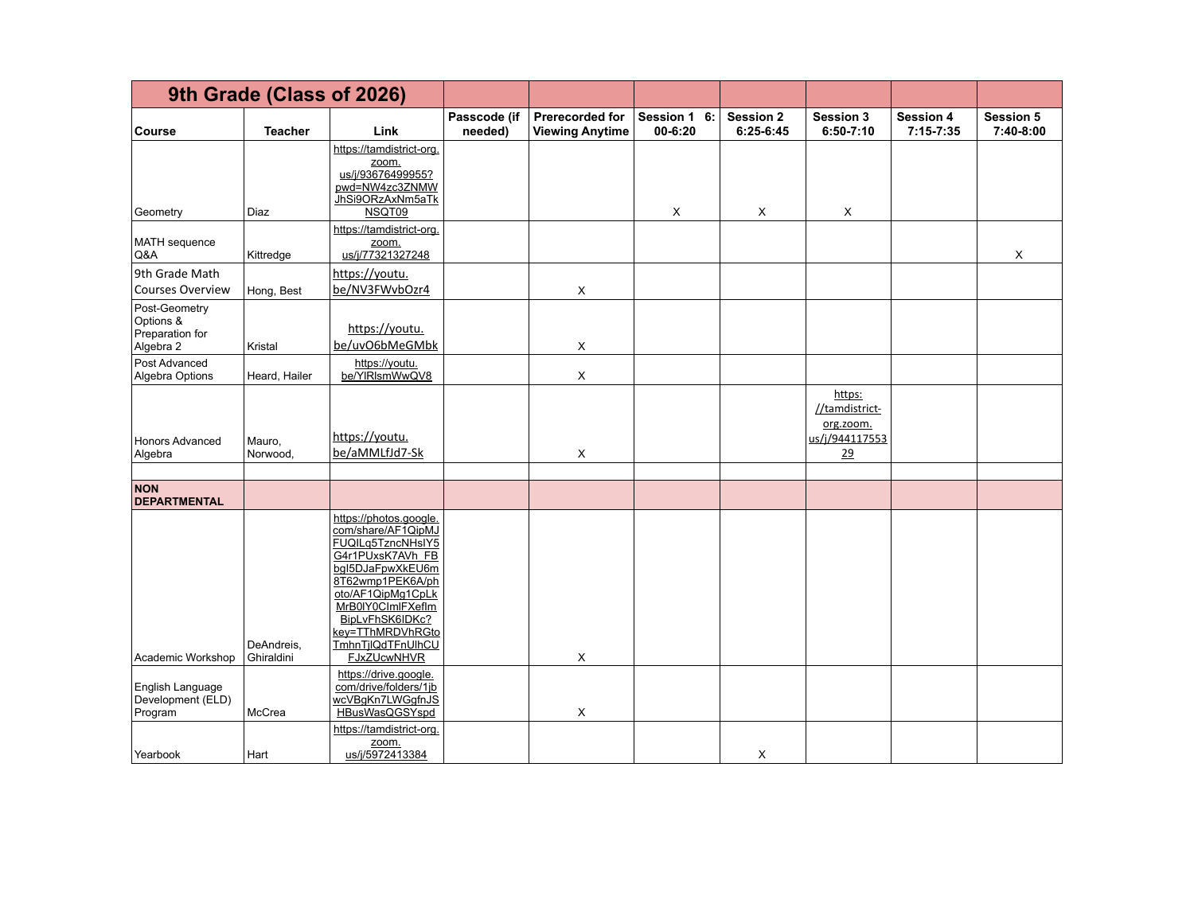|                                                            | 9th Grade (Class of 2026) |                                                                                                                                                                                                                                                           |                         |                                                  |                             |                                 |                                                               |                                   |                               |
|------------------------------------------------------------|---------------------------|-----------------------------------------------------------------------------------------------------------------------------------------------------------------------------------------------------------------------------------------------------------|-------------------------|--------------------------------------------------|-----------------------------|---------------------------------|---------------------------------------------------------------|-----------------------------------|-------------------------------|
| <b>Course</b>                                              | <b>Teacher</b>            | Link                                                                                                                                                                                                                                                      | Passcode (if<br>needed) | <b>Prerecorded for</b><br><b>Viewing Anytime</b> | Session 1 6:<br>$00 - 6:20$ | <b>Session 2</b><br>$6:25-6:45$ | Session 3<br>$6:50 - 7:10$                                    | <b>Session 4</b><br>$7:15 - 7:35$ | <b>Session 5</b><br>7:40-8:00 |
| Geometry                                                   | Diaz                      | https://tamdistrict-org.<br>zoom.<br>us/j/93676499955?<br>pwd=NW4zc3ZNMW<br>JhSi9ORzAxNm5aTk<br>NSQT09                                                                                                                                                    |                         |                                                  | X                           | X                               | X                                                             |                                   |                               |
| MATH sequence<br>Q&A                                       | Kittredge                 | https://tamdistrict-org.<br>zoom.<br>us/j/77321327248                                                                                                                                                                                                     |                         |                                                  |                             |                                 |                                                               |                                   | $\mathsf X$                   |
| 9th Grade Math<br><b>Courses Overview</b>                  | Hong, Best                | https://youtu.<br>be/NV3FWvbOzr4                                                                                                                                                                                                                          |                         | X                                                |                             |                                 |                                                               |                                   |                               |
| Post-Geometry<br>Options &<br>Preparation for<br>Algebra 2 | Kristal                   | https://youtu.<br>be/uvO6bMeGMbk                                                                                                                                                                                                                          |                         | X                                                |                             |                                 |                                                               |                                   |                               |
| Post Advanced<br>Algebra Options                           | Heard, Hailer             | https://youtu.<br>be/YIRIsmWwQV8                                                                                                                                                                                                                          |                         | $\mathsf X$                                      |                             |                                 |                                                               |                                   |                               |
| <b>Honors Advanced</b><br>Algebra                          | Mauro.<br>Norwood,        | https://voutu.<br>be/aMMLfJd7-Sk                                                                                                                                                                                                                          |                         | X                                                |                             |                                 | https:<br>//tamdistrict-<br>org.zoom.<br>us/j/944117553<br>29 |                                   |                               |
| <b>NON</b><br><b>DEPARTMENTAL</b>                          |                           |                                                                                                                                                                                                                                                           |                         |                                                  |                             |                                 |                                                               |                                   |                               |
| Academic Workshop                                          | DeAndreis,<br>Ghiraldini  | https://photos.google.<br>com/share/AF1QipMJ<br>FUQILq5TzncNHsIY5<br>G4r1PUxsK7AVh FB<br>bql5DJaFpwXkEU6m<br>8T62wmp1PEK6A/ph<br>oto/AF1QipMg1CpLk<br>MrB0IY0CImIFXefIm<br>BipLvFhSK6IDKc?<br>key=TThMRDVhRGto<br>TmhnTjlQdTFnUlhCU<br><b>FJxZUcwNHVR</b> |                         | X                                                |                             |                                 |                                                               |                                   |                               |
| English Language<br>Development (ELD)<br>Program           | McCrea                    | https://drive.google.<br>com/drive/folders/1jb<br>wcVBqKn7LWGqfnJS<br>HBusWasQGSYspd                                                                                                                                                                      |                         | X                                                |                             |                                 |                                                               |                                   |                               |
| Yearbook                                                   | Hart                      | https://tamdistrict-org.<br>zoom.<br>us/j/5972413384                                                                                                                                                                                                      |                         |                                                  |                             | X                               |                                                               |                                   |                               |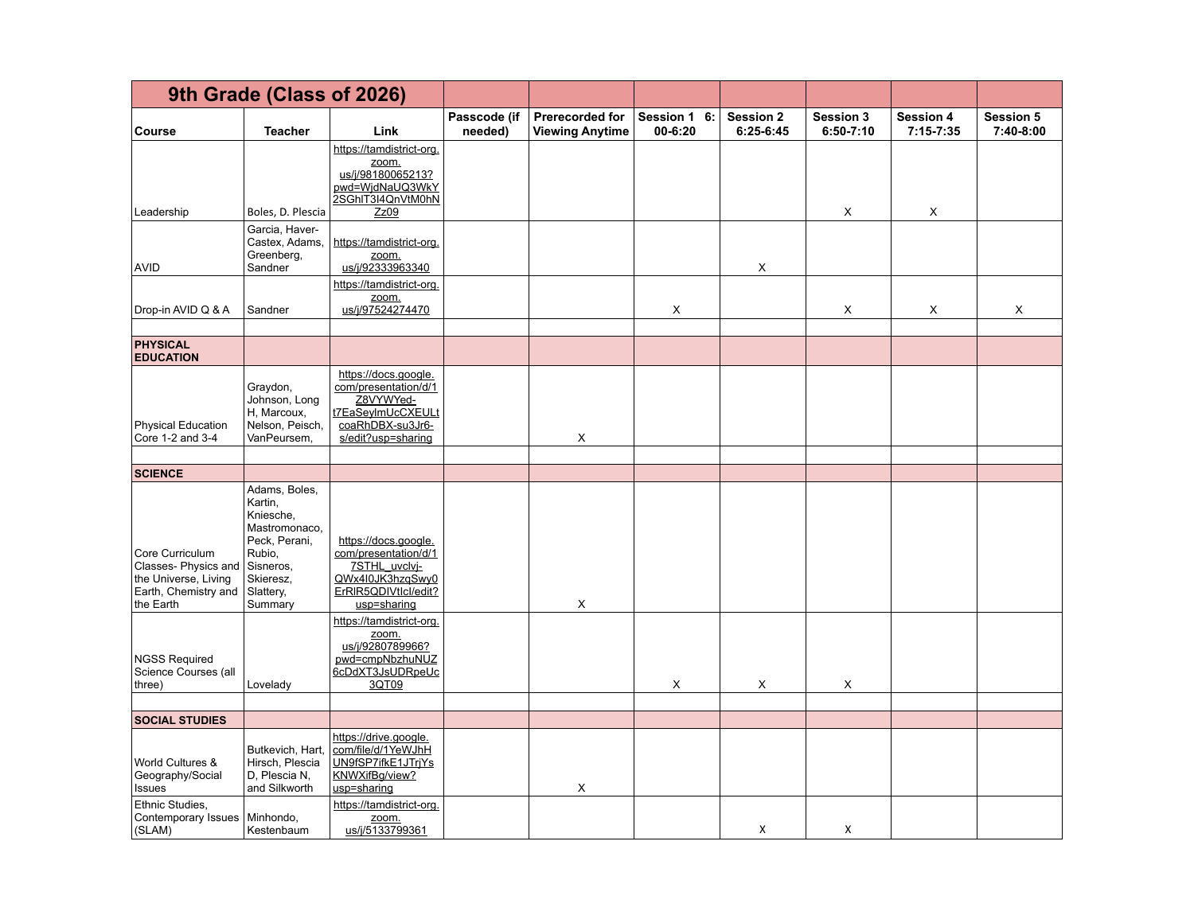|                                                                                                     | 9th Grade (Class of 2026)                                                                                                           |                                                                                                                          |                         |                                                  |                                       |                                 |                                   |                                   |                               |
|-----------------------------------------------------------------------------------------------------|-------------------------------------------------------------------------------------------------------------------------------------|--------------------------------------------------------------------------------------------------------------------------|-------------------------|--------------------------------------------------|---------------------------------------|---------------------------------|-----------------------------------|-----------------------------------|-------------------------------|
| Course                                                                                              | <b>Teacher</b>                                                                                                                      | Link                                                                                                                     | Passcode (if<br>needed) | <b>Prerecorded for</b><br><b>Viewing Anytime</b> | <b>Session 1</b><br>6:<br>$00 - 6:20$ | <b>Session 2</b><br>$6:25-6:45$ | <b>Session 3</b><br>$6:50 - 7:10$ | <b>Session 4</b><br>$7:15 - 7:35$ | <b>Session 5</b><br>7:40-8:00 |
|                                                                                                     |                                                                                                                                     | https://tamdistrict-org.<br>zoom.<br>us/j/98180065213?<br>pwd=WjdNaUQ3WkY<br>2SGhIT3I4QnVtM0hN                           |                         |                                                  |                                       |                                 |                                   |                                   |                               |
| Leadership                                                                                          | Boles, D. Plescia                                                                                                                   | Zz09                                                                                                                     |                         |                                                  |                                       |                                 | X                                 | X                                 |                               |
| <b>AVID</b>                                                                                         | Garcia, Haver-<br>Castex, Adams,<br>Greenberg,<br>Sandner                                                                           | https://tamdistrict-org.<br>zoom.<br>us/j/92333963340                                                                    |                         |                                                  |                                       | X                               |                                   |                                   |                               |
| Drop-in AVID Q & A                                                                                  | Sandner                                                                                                                             | https://tamdistrict-org.<br><u>zoom.</u><br>us/j/97524274470                                                             |                         |                                                  | X                                     |                                 | X                                 | X                                 | X                             |
| <b>PHYSICAL</b><br><b>EDUCATION</b>                                                                 |                                                                                                                                     |                                                                                                                          |                         |                                                  |                                       |                                 |                                   |                                   |                               |
| <b>Physical Education</b><br>Core 1-2 and 3-4                                                       | Graydon,<br>Johnson, Long<br>H, Marcoux,<br>Nelson, Peisch,<br>VanPeursem,                                                          | https://docs.google.<br>com/presentation/d/1<br>Z8VYWYed-<br>t7EaSeyImUcCXEULt<br>coaRhDBX-su3Jr6-<br>s/edit?usp=sharing |                         | X                                                |                                       |                                 |                                   |                                   |                               |
| <b>SCIENCE</b>                                                                                      |                                                                                                                                     |                                                                                                                          |                         |                                                  |                                       |                                 |                                   |                                   |                               |
| Core Curriculum<br>Classes-Physics and<br>the Universe, Living<br>Earth, Chemistry and<br>the Earth | Adams, Boles,<br>Kartin,<br>Kniesche,<br>Mastromonaco,<br>Peck, Perani,<br>Rubio,<br>Sisneros,<br>Skieresz,<br>Slattery,<br>Summary | https://docs.google.<br>com/presentation/d/1<br>7STHL uvclvi-<br>QWx4I0JK3hzqSwy0<br>ErRIR5QDIVtIcl/edit?<br>usp=sharing |                         | X                                                |                                       |                                 |                                   |                                   |                               |
| <b>NGSS Required</b><br>Science Courses (all<br>three)                                              | Lovelady                                                                                                                            | https://tamdistrict-org.<br>zoom.<br>us/j/9280789966?<br>pwd=cmpNbzhuNUZ<br>6cDdXT3JsUDRpeUc<br>3QT09                    |                         |                                                  | X                                     | X                               | X                                 |                                   |                               |
| <b>SOCIAL STUDIES</b>                                                                               |                                                                                                                                     |                                                                                                                          |                         |                                                  |                                       |                                 |                                   |                                   |                               |
| World Cultures &<br>Geography/Social<br><b>Issues</b>                                               | Butkevich, Hart,<br>Hirsch, Plescia<br>D, Plescia N,<br>and Silkworth                                                               | https://drive.google.<br>com/file/d/1YeWJhH<br>UN9fSP7ifkE1JTrjYs<br>KNWXifBg/view?<br>usp=sharing                       |                         | X                                                |                                       |                                 |                                   |                                   |                               |
| Ethnic Studies,<br>Contemporary Issues   Minhondo,<br>(SLAM)                                        | Kestenbaum                                                                                                                          | https://tamdistrict-org.<br>zoom.<br>us/j/5133799361                                                                     |                         |                                                  |                                       | X                               | X                                 |                                   |                               |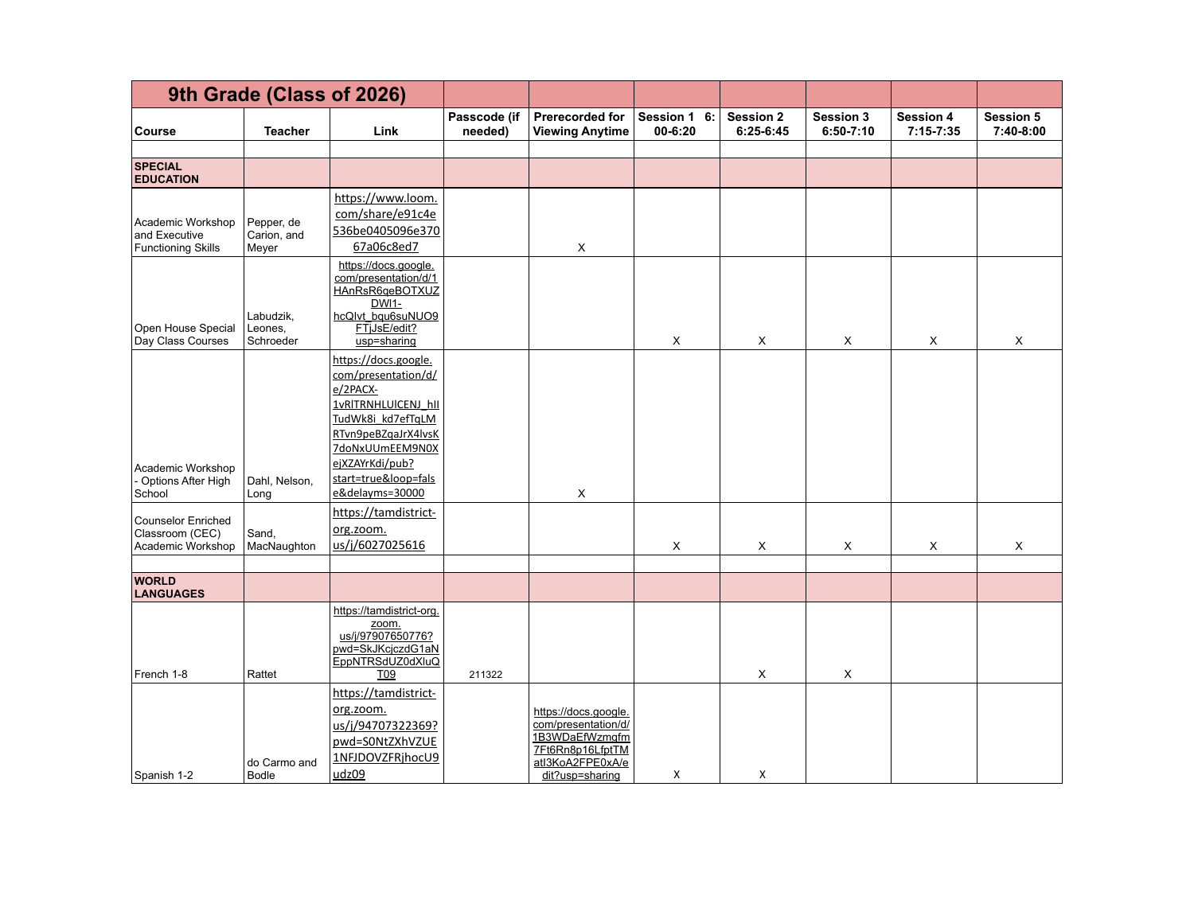|                                                                   | 9th Grade (Class of 2026)          |                                                                                                                                                                                                             |                         |                                                                                                                          |                         |                                 |                                   |                                   |                               |
|-------------------------------------------------------------------|------------------------------------|-------------------------------------------------------------------------------------------------------------------------------------------------------------------------------------------------------------|-------------------------|--------------------------------------------------------------------------------------------------------------------------|-------------------------|---------------------------------|-----------------------------------|-----------------------------------|-------------------------------|
| <b>Course</b>                                                     | <b>Teacher</b>                     | Link                                                                                                                                                                                                        | Passcode (if<br>needed) | Prerecorded for<br><b>Viewing Anytime</b>                                                                                | Session 1 6:<br>00-6:20 | <b>Session 2</b><br>$6:25-6:45$ | <b>Session 3</b><br>$6:50 - 7:10$ | <b>Session 4</b><br>$7:15 - 7:35$ | <b>Session 5</b><br>7:40-8:00 |
|                                                                   |                                    |                                                                                                                                                                                                             |                         |                                                                                                                          |                         |                                 |                                   |                                   |                               |
| <b>SPECIAL</b><br><b>EDUCATION</b>                                |                                    |                                                                                                                                                                                                             |                         |                                                                                                                          |                         |                                 |                                   |                                   |                               |
| Academic Workshop<br>and Executive<br><b>Functioning Skills</b>   | Pepper, de<br>Carion, and<br>Meyer | https://www.loom.<br>com/share/e91c4e<br>536be0405096e370<br>67a06c8ed7                                                                                                                                     |                         | X                                                                                                                        |                         |                                 |                                   |                                   |                               |
| Open House Special<br>Day Class Courses                           | Labudzik,<br>Leones,<br>Schroeder  | https://docs.google.<br>com/presentation/d/1<br>HAnRsR6qeBOTXUZ<br>$DW11$ -<br>hcQlvt bqu6suNUO9<br>FTjJsE/edit?<br>usp=sharing                                                                             |                         |                                                                                                                          | X                       | X                               | X                                 | X                                 | X                             |
| Academic Workshop<br>Options After High<br>School                 | Dahl, Nelson,<br>Long              | https://docs.google.<br>com/presentation/d/<br>e/2PACX-<br>1vRITRNHLUICENJ hll<br>TudWk8i kd7efTqLM<br>RTvn9peBZqaJrX4lvsK<br>7doNxUUmEEM9N0X<br>ejXZAYrKdi/pub?<br>start=true&loop=fals<br>e&delayms=30000 |                         | X                                                                                                                        |                         |                                 |                                   |                                   |                               |
| <b>Counselor Enriched</b><br>Classroom (CEC)<br>Academic Workshop | Sand,<br>MacNaughton               | https://tamdistrict-<br>org.zoom.<br>us/j/6027025616                                                                                                                                                        |                         |                                                                                                                          | X                       | X                               | X                                 | X                                 | X                             |
|                                                                   |                                    |                                                                                                                                                                                                             |                         |                                                                                                                          |                         |                                 |                                   |                                   |                               |
| <b>WORLD</b><br><b>LANGUAGES</b>                                  |                                    |                                                                                                                                                                                                             |                         |                                                                                                                          |                         |                                 |                                   |                                   |                               |
| French 1-8                                                        | Rattet                             | https://tamdistrict-org.<br>zoom.<br>us/j/97907650776?<br>pwd=SkJKcjczdG1aN<br>EppNTRSdUZ0dXluQ<br>T <sub>09</sub>                                                                                          | 211322                  |                                                                                                                          |                         | $\mathsf X$                     | X                                 |                                   |                               |
| Spanish 1-2                                                       | do Carmo and<br><b>Bodle</b>       | https://tamdistrict-<br>org.zoom.<br>us/j/94707322369?<br>pwd=S0NtZXhVZUE<br>1NFJDOVZFRjhocU9<br>udz09                                                                                                      |                         | https://docs.google.<br>com/presentation/d/<br>1B3WDaEfWzmgfm<br>7Ft6Rn8p16LfptTM<br>atl3KoA2FPE0xA/e<br>dit?usp=sharing | X                       | X                               |                                   |                                   |                               |